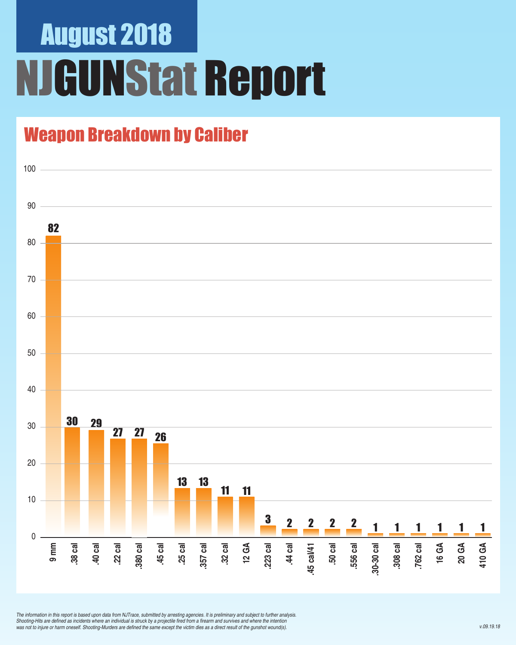# August 2018 **IGUNStat Report**

## Weapon Breakdown by Caliber



*The information in this report is based upon data from NJTrace, submitted by arresting agencies. It is preliminary and subject to further analysis.*  Shooting-Hits are defined as incidents where an individual is struck by a projectile fired from a firearm and survives and where the intention was not to injure or harm oneself. Shooting-Murders are defined the same except the victim dies as a direct result of the gunshot wound(s).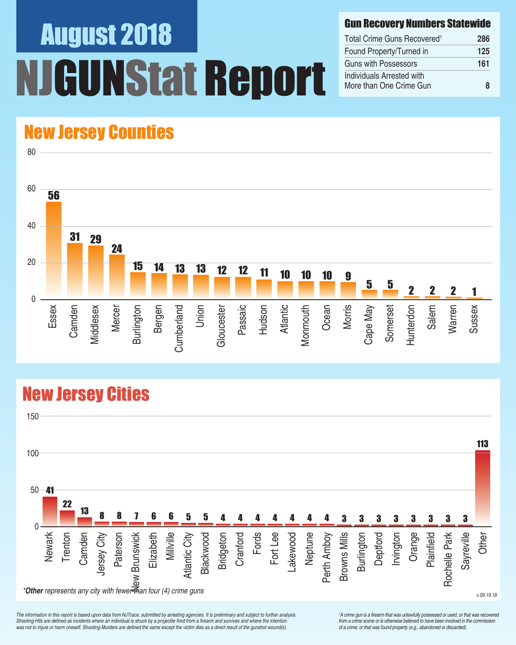# August 2018 UNStat Report

### Gun Recovery Numbers Statewide

| Total Crime Guns Recovered <sup>1</sup>              | 286 |
|------------------------------------------------------|-----|
| Found Property/Turned in                             | 125 |
| Guns with Possessors                                 | 161 |
| Individuals Arrested with<br>More than One Crime Gun | R   |

## New Jersey Counties

80



## New Jersey Cities



*The information in this report is based upon data from NJTrace, submitted by arresting agencies. It is preliminary and subject to further analysis.*  Shooting-Hits are defined as incidents where an individual is struck by a projectile fired from a firearm and survives and where the intention was not to injure or harm oneself. Shooting-Murders are defined the same except the victim dies as a direct result of the gunshot wound(s).

<sup>1</sup>A crime gun is a firearm that was unlawfully possessed or used, or that was recovered from a crime scene or is otherwise believed to have been involved in the commission *of a crime, or that was found property (e.g., abandoned or discarded).*